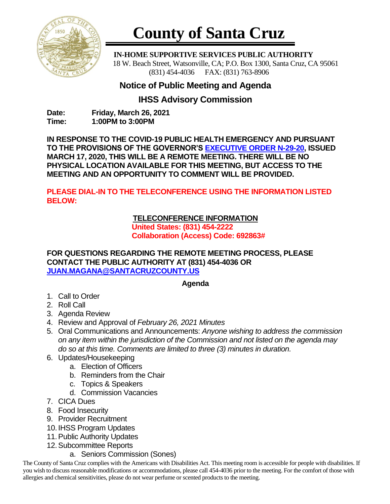

# **County of Santa Cruz**

 **IN-HOME SUPPORTIVE SERVICES PUBLIC AUTHORITY** 18 W. Beach Street, Watsonville, CA; P.O. Box 1300, Santa Cruz, CA 95061 (831) 454-4036 FAX: (831) 763-8906

# **Notice of Public Meeting and Agenda**

## **IHSS Advisory Commission**

**Date: Friday, March 26, 2021 Time: 1:00PM to 3:00PM**

**IN RESPONSE TO THE COVID-19 PUBLIC HEALTH EMERGENCY AND PURSUANT TO THE PROVISIONS OF THE GOVERNOR'S [EXECUTIVE ORDER N-29-20,](https://www.gov.ca.gov/wp-content/uploads/2020/03/3.17.20-N-29-20-EO.pdf) ISSUED MARCH 17, 2020, THIS WILL BE A REMOTE MEETING. THERE WILL BE NO PHYSICAL LOCATION AVAILABLE FOR THIS MEETING, BUT ACCESS TO THE MEETING AND AN OPPORTUNITY TO COMMENT WILL BE PROVIDED.**

**PLEASE DIAL-IN TO THE TELECONFERENCE USING THE INFORMATION LISTED BELOW:**

## **TELECONFERENCE INFORMATION**

**United States: (831) 454-2222 Collaboration (Access) Code: 692863#**

#### **FOR QUESTIONS REGARDING THE REMOTE MEETING PROCESS, PLEASE CONTACT THE PUBLIC AUTHORITY AT (831) 454-4036 OR [JUAN.MAGANA@SANTACRUZCOUNTY.US](mailto:JUAN.MAGANA@SANTACRUZCOUNTY.US)**

### **Agenda**

- 1. Call to Order
- 2. Roll Call
- 3. Agenda Review
- 4. Review and Approval of *February 26, 2021 Minutes*
- 5. Oral Communications and Announcements: *Anyone wishing to address the commission on any item within the jurisdiction of the Commission and not listed on the agenda may do so at this time. Comments are limited to three (3) minutes in duration.*
- 6. Updates/Housekeeping
	- a. Election of Officers
	- b. Reminders from the Chair
	- c. Topics & Speakers
	- d. Commission Vacancies
- 7. CICA Dues
- 8. Food Insecurity
- 9. Provider Recruitment
- 10. IHSS Program Updates
- 11.Public Authority Updates
- 12.Subcommittee Reports
	- a. Seniors Commission (Sones)

The County of Santa Cruz complies with the Americans with Disabilities Act. This meeting room is accessible for people with disabilities. If you wish to discuss reasonable modifications or accommodations, please call 454-4036 prior to the meeting. For the comfort of those with allergies and chemical sensitivities, please do not wear perfume or scented products to the meeting.